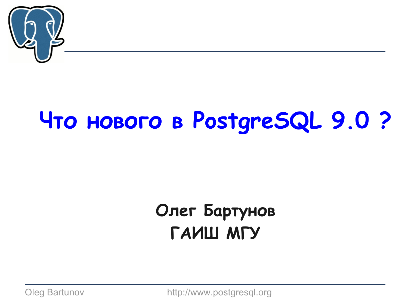

### **Что нового в PostgreSQL 9.0 ?**

### **Олег Бартунов ГАИШ МГУ**

Oleg Bartunov http://www.postgresql.org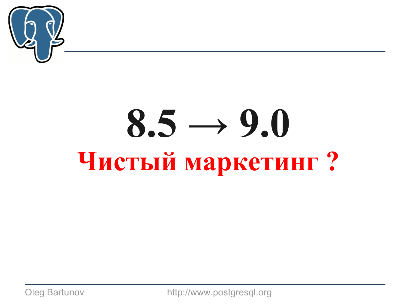

# **8.5 → 9.0 Чистый маркетинг ?**

Oleg Bartunov http://www.postgresql.org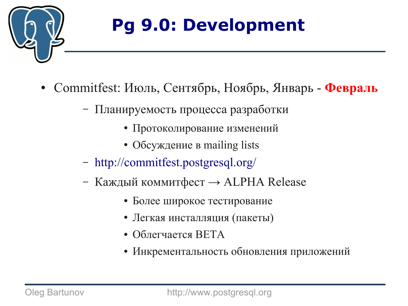

### **Pg 9.0: Development**

- Commitfest: Июль, Сентябрь, Ноябрь, Январь **Февраль**
	- Планируемость процесса разработки
		- Протоколирование изменений
		- Обсуждение в mailing lists
	- <http://commitfest.postgresql.org/>
	- Каждый коммитфест  $\rightarrow$  ALPHA Release
		- Более широкое тестирование
		- Легкая инсталляция (пакеты)
		- Облегчается  $BETA$
		- Инкрементальность обновления приложений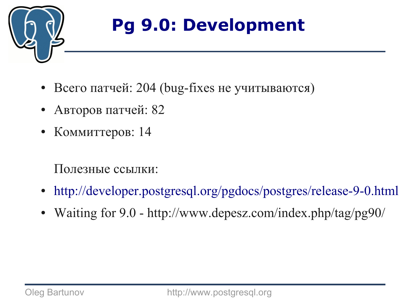

### **Pg 9.0: Development**

- Всего патчей: 204 (bug-fixes не учитываются)
- Авторов патчей: 82
- Коммиттеров: 14

#### Полезные ссылки:

- <http://developer.postgresql.org/pgdocs/postgres/release-9-0.html>
- Waiting for 9.0 http://www.depesz.com/index.php/tag/pg90/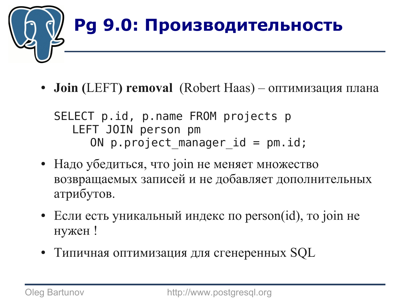

• **Join (LEFT) removal** (Robert Haas) – оптимизация плана

SELECT p.id, p.name FROM projects p LEFT JOIN person pm ON p.project manager  $id = pm.id;$ 

- Надо убедиться, что join не меняет множество возвращаемых записей и не добавляет дополнительных атрибутов.
- $\bullet$  Если есть уникальный индекс по person(id), то join не нужен !
- Типичная оптимизация для сгенеренных SQL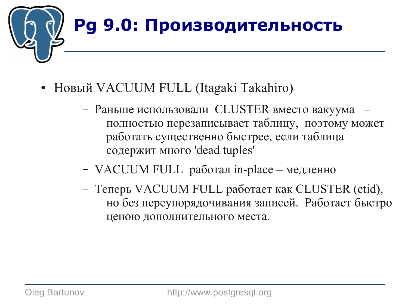

- Новый VACUUM FULL (Itagaki Takahiro)
	- Раньше использовали CLUSTER вместо вакуума полностью перезаписывает таблицу, поэтому может работать существенно быстрее, если таблица содержит много 'dead tuples'
	- VACUUM FULL работал in-place медленно
	- Теперь VACUUM FULL работает как CLUSTER (ctid), но без переупорядочивания записей. Работает быстро ценою дополнительного места.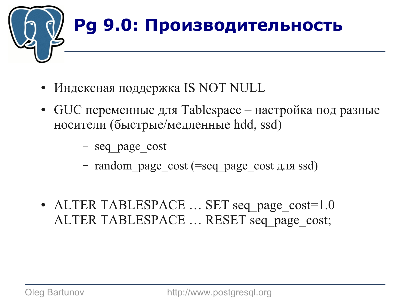

- Индексная поддержка IS NOT NULL
- $\sigma$  GUC переменные для Tablespace настройка под разные носители (быстрые/медленные hdd, ssd)
	- seq\_page\_cost
	- random\_page\_cost (=seq\_page\_cost для ssd)
- ALTER TABLESPACE ... SET seq page cost=1.0 ALTER TABLESPACE ... RESET seq page cost;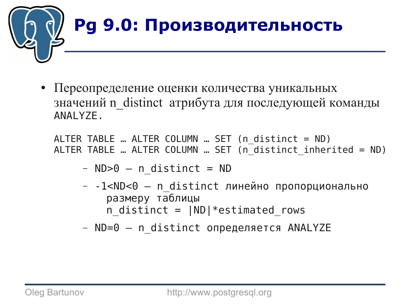

● Переопределение оценки количества уникальных значений n distinct атрибута для последующей команды ANALYZE.

ALTER TABLE … ALTER COLUMN … SET (n\_distinct = ND) ALTER TABLE … ALTER COLUMN … SET (n\_distinct\_inherited = ND)

- $-$  ND $>0$   $-$  n distinct = ND
- $-$  -1<ND<0  $-$  n distinct линейно пропорционально размеру таблицы n distinct =  $|ND|*estimated$  rows
- $-$  ND=0  $-$  n distinct определяется ANALYZE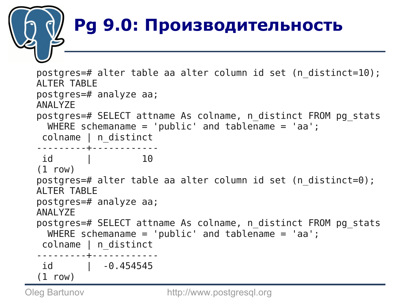

postgres=# alter table aa alter column id set (n\_distinct=10); ALTER TABLE postgres=# analyze aa; ANALYZE postgres=# SELECT attname As colname, n\_distinct FROM pg\_stats WHERE schemaname =  $'public'$  and tablename =  $'aa'$ ; colname | n\_distinct ---------+----------- id | 10 (1 row) postgres=# alter table aa alter column id set (n\_distinct=0); ALTER TABLE postgres=# analyze aa; ANALYZE postgres=# SELECT attname As colname, n\_distinct FROM pg\_stats WHERE schemaname =  $'public'$  and tablename =  $'aa'$ ; colname | n\_distinct ---------+----------- id | -0.454545 (1 row)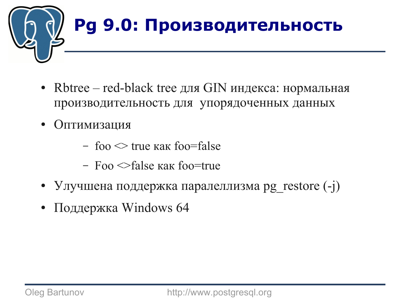

- Rbtree red-black tree для GIN индекса: нормальная производительность для упорядоченных данных
- Оптимизация
	- foo  $\leq$  true как foo=false
	- Foo <>false как foo=true
- Улучшена поддержка паралеллизма pg\_restore (-j)
- Поддержка Windows  $64$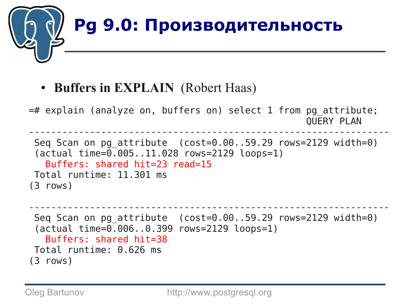

● **Buffers in EXPLAIN** (Robert Haas)

```
=# explain (analyze on, buffers on) select 1 from pg_attribute;
                                                    QUERY PLAN 
-----------------------------------------------------------------
 Seq Scan on pg_attribute (cost=0.00..59.29 rows=2129 width=0)
 (actual time=0.005..11.028 rows=2129 loops=1)
    Buffers: shared hit=23 read=15
Total runtime: 11.301 ms
(3 rows)
```

```
-----------------------------------------------------------------
Seq Scan on pg_attribute (cost=0.00..59.29 rows=2129 width=0)
 (actual time=0.006..0.399 rows=2129 loops=1)
   Buffers: shared hit=38
Total runtime: 0.626 ms
(3 rows)
```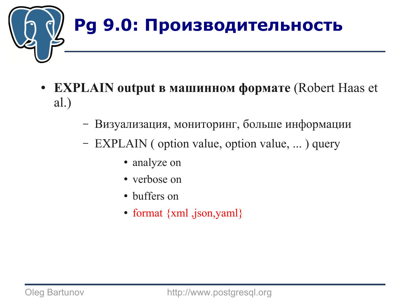

- **EXPLAIN output в машинном формате** (Robert Haas et al.)
	- Визуализация, мониторинг, больше информации
	- EXPLAIN ( option value, option value, ... ) query
		- analyze on
		- verbose on
		- buffers on
		- format  $\{xml$ ,  $\{son, yaml\}$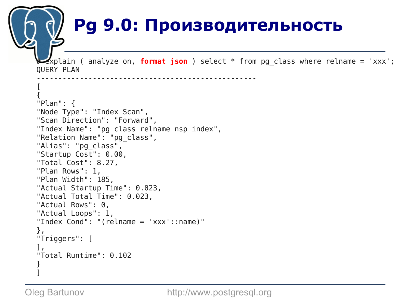#### **Pg 9.0: Производительность**

**Explain** ( analyze on, **format json** ) select \* from pg class where relname = 'xxx'; QUERY PLAN ---------------------------------------------------

```
[
{
"Plan": {
"Node Type": "Index Scan",
"Scan Direction": "Forward",
"Index Name": "pg_class_relname_nsp_index",
"Relation Name": "pg_class",
"Alias": "pg_class",
"Startup Cost": 0.00,
"Total Cost": 8.27,
"Plan Rows": 1,
"Plan Width": 185,
"Actual Startup Time": 0.023,
"Actual Total Time": 0.023,
"Actual Rows": 0,
"Actual Loops": 1,
"Index Cond": "(relname = 'xxx'::name)"
},
"Triggers": [
],
"Total Runtime": 0.102
}
]
```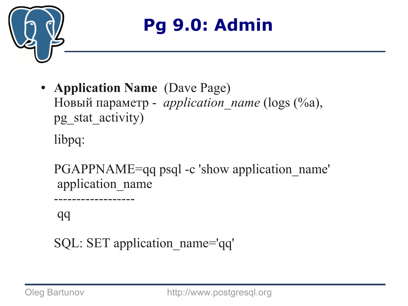

- **Application Name** (Dave Page) Новый параметр - *application\_name* (logs (%a), pg\_stat\_activity) libpq:
	- PGAPPNAME=qq psql -c 'show application name' application\_name ------------------

qq

SQL: SET application\_name='qq'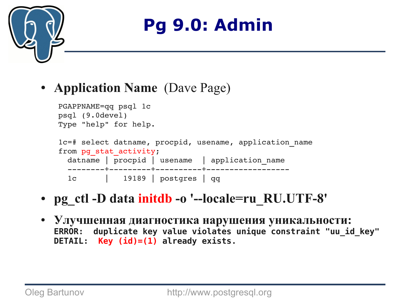



```
PGAPPNAME=qq psql 1c
psql (9.0devel)
Type "help" for help.
1c=# select datname, procpid, usename, application_name 
from pq stat activity;
 datname | procpid | usename | application name
  +++
   1c      |   19189 | postgres | qq
```
- **pg\_ctl -D data initdb -o '--locale=ru\_RU.UTF-8'**
- **Улучшенная диагностика нарушения уникальности: ERROR: duplicate key value violates unique constraint "uu\_id\_key" DETAIL: Key (id)=(1) already exists.**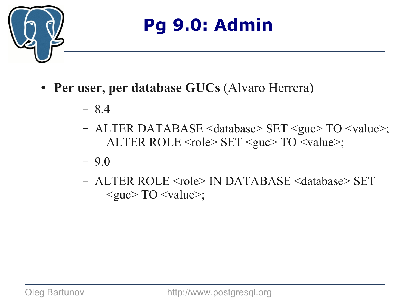

- **Per user, per database GUCs** (Alvaro Herrera)
	- 8.4
	- ALTER DATABASE <database> SET <guc> TO <value>; ALTER ROLE <role> SET <guc> TO <value>;
	- 9.0
	- ALTER ROLE <role> IN DATABASE <database> SET  $\langle \text{guc} \rangle$  TO  $\langle \text{value} \rangle$ ;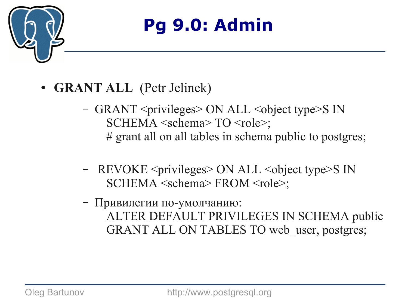

- **GRANT ALL** (Petr Jelinek)
	- GRANT <privileges> ON ALL <object type>S IN SCHEMA <schema> TO <role>; # grant all on all tables in schema public to postgres;
	- REVOKE <privileges> ON ALL <object type>S IN SCHEMA <schema> FROM <role>;
	- Привилегии по-умолчанию: ALTER DEFAULT PRIVILEGES IN SCHEMA public GRANT ALL ON TABLES TO web user, postgres;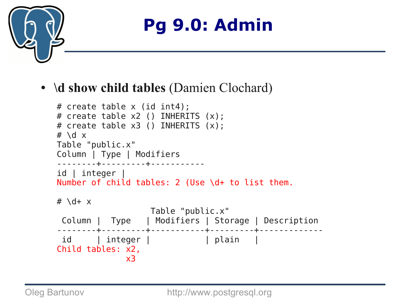

#### • **\d show child tables** (Damien Clochard)

```
# create table x (id int4);
# create table x2 () INHERITS (x);
# create table x3 () INHERITS (x);
# \overline{d} x
Table "public.x"
Column | Type | Modifiers
--------+---------+-----------
id | integer |
Number of child tables: 2 (Use \d+ to list them.
# \{d+ x Table "public.x"
 Column | Type | Modifiers | Storage | Description 
   --------+---------+-----------+---------+-------------
 id | integer | | plain | 
Child tables: x2,
               x3
```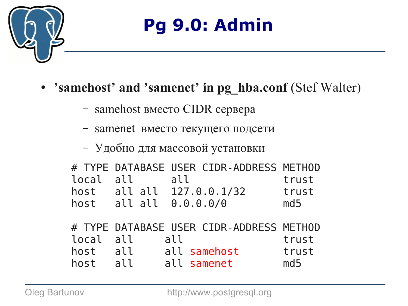

- 'samehost' and 'samenet' in pg hba.conf (Stef Walter)
	- samehost вместо CIDR сервера
	- samenet вместо текущего подсети
	- Удобно для массовой установки

| local<br>host<br>host | all<br>all all | # TYPE DATABASE USER CIDR-ADDRESS METHOD<br>all<br>all all 127.0.0.1/32<br>0.0.0.0/0 | trust<br>trust<br>md5 |
|-----------------------|----------------|--------------------------------------------------------------------------------------|-----------------------|
| local                 | all            | # TYPE DATABASE USER CIDR-ADDRESS METHOD<br>all                                      | trust                 |
| host                  | all            | all samehost                                                                         | trust                 |
| host                  | all            | all samenet                                                                          | md5                   |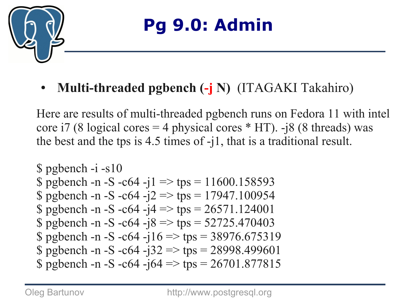

● **Multi-threaded pgbench (-j N)** (ITAGAKI Takahiro)

Here are results of multi-threaded pgbench runs on Fedora 11 with intel core i7 (8 logical cores = 4 physical cores  $*$  HT). -j8 (8 threads) was the best and the tps is 4.5 times of -j1, that is a traditional result.

```
$ pgbench -i -s10
$ pgbench -n -S -c64 -j1 => tps = 11600.158593$ pgbench -n -S -c64 -j2 => tps = 17947.100954
$ pgbench -n -S -c64 -j4 => tps = 26571.124001$ pgbench -n -S -c64 -j8 => tps = 52725.470403$ pgbench -n -S -c64 -j16 => tps = 38976.675319$ pgbench -n -S -c64 -j32 => tps = 28998.499601
$ pgbench -n -S -c64 -j64 \Rightarrow tps = 26701.877815
```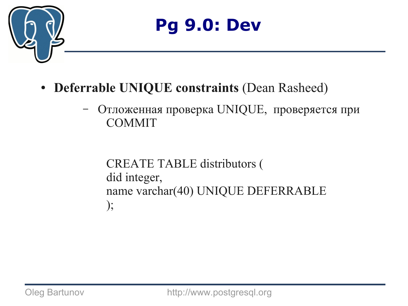

- **Deferrable UNIQUE constraints** (Dean Rasheed)
	- Отложенная проверка UNIQUE, проверяется при **COMMIT**

CREATE TABLE distributors ( did integer, name varchar(40) UNIQUE DEFERRABLE );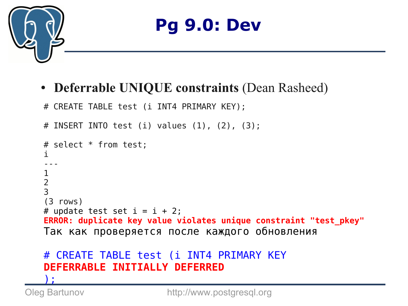

#### ● **Deferrable UNIQUE constraints** (Dean Rasheed)

```
# CREATE TABLE test (i INT4 PRIMARY KEY);
```

```
# INSERT INTO test (i) values (1), (2), (3);
# select * from test;
i
---
1
2
3
(3 rows)
# update test set i = i + 2;
ERROR: duplicate key value violates unique constraint "test_pkey"
Так как проверяется после каждого обновления
```
#### # CREATE TABLE test (i INT4 PRIMARY KEY **DEFERRABLE INITIALLY DEFERRED** );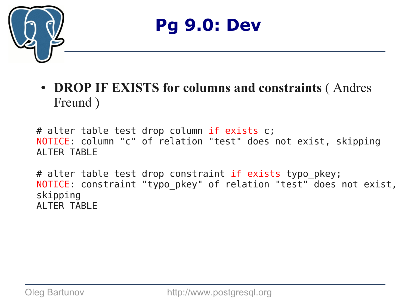

● **DROP IF EXISTS for columns and constraints** ( Andres Freund )

# alter table test drop column if exists c; NOTICE: column "c" of relation "test" does not exist, skipping ALTER TABLE

# alter table test drop constraint if exists typo\_pkey; NOTICE: constraint "typo\_pkey" of relation "test" does not exist, skipping ALTER TABLE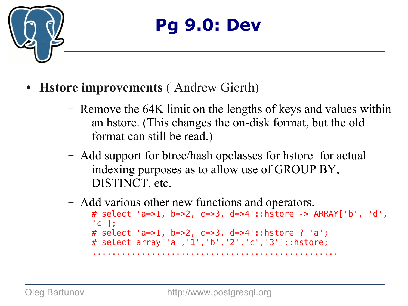

- **Hstore improvements** ( Andrew Gierth)
	- Remove the 64K limit on the lengths of keys and values within an hstore. (This changes the on-disk format, but the old format can still be read.)
	- Add support for btree/hash opclasses for hstore for actual indexing purposes as to allow use of GROUP BY, DISTINCT, etc.
	- Add various other new functions and operators. # select 'a=>1, b=>2, c=>3, d=>4'::hstore -> ARRAY['b', 'd',  $\lceil c \rceil$ : # select 'a=>1, b=>2, c=>3, d=>4'::hstore ? 'a'; # select array['a','1','b','2','c','3']::hstore; ..................................................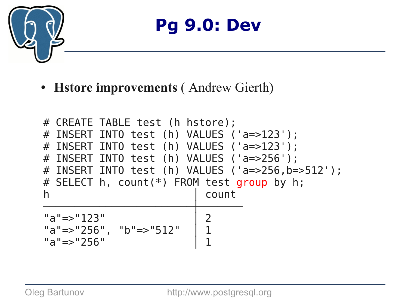

● **Hstore improvements** ( Andrew Gierth)

```
# CREATE TABLE test (h hstore);
# INSERT INTO test (h) VALUES ('a=>123');
# INSERT INTO test (h) VALUES ('a=>123');
# INSERT INTO test (h) VALUES ('a=>256');
# INSERT INTO test (h) VALUES ('a=>256,b=>512');
# SELECT h, count(*) FROM test group by h;
h │ count
────────────────────────┼───────
"a"=>"123"<br>"a"=>"256", "b"=>"512" | 1
"a"=>"256", "b"=>"512" │ 1
"a"=>"256" │ 1
```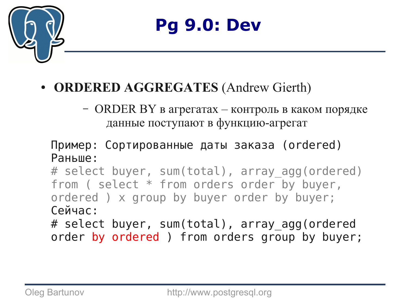

#### ● **ORDERED AGGREGATES** (Andrew Gierth)

– ORDER BY в агрегатах – контроль в каком порядке данные поступают в функцию-агрегат

#### Пример: Сортированные даты заказа (ordered) Раньше:

# select buyer, sum(total), array agg(ordered) from ( select \* from orders order by buyer, ordered ) x group by buyer order by buyer; Сейчас:

# select buyer, sum(total), array agg(ordered order by ordered ) from orders group by buyer;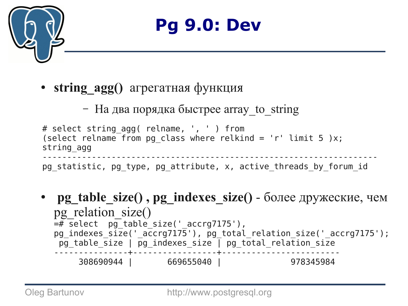

• **string agg()** агрегатная функция

– На два порядка быстрее array to string

```
# select string_agg( relname, ', ' ) from 
(select relname from pg class where relkind = 'r' limit 5 )x;
string_agg
--------------------------------------------------------------------
pg statistic, pg type, pg attribute, x, active threads by forum id
```
**pg\_table\_size(), pg\_indexes\_size()** - более дружеские, чем pg relation size()  $=$   $\frac{1}{2}$  select  $pg$  table size(' accrg7175'), pg\_indexes\_size('\_accrg7175'), pg\_total\_relation\_size('\_accrg7175');  $\overline{pg}$  table size |  $\overline{pg}$  indexes size | pg\_total\_relation\_size ---------------+-----------------+------------------------ 308690944 | 669655040 | 978345984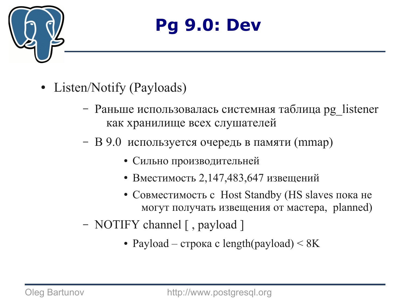

- Listen/Notify (Payloads)
	- Раньше использовалась системная таблица pg\_listener как хранилище всех слушателей
	- В 9.0 используется очередь в памяти (mmap)
		- Сильно производительней
		- Вместимость 2,147,483,647 извещений
		- Совместимость с Host Standby (HS slaves пока не могут получать извещения от мастера, planned)
	- NOTIFY channel [ , payload ]
		- Payload строка с length(payload)  $\leq 8K$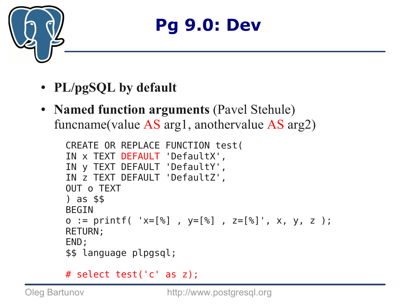

- **PL/pgSQL by default**
- **Named function arguments** (Pavel Stehule) funcname(value AS arg1, anothervalue AS arg2)

```
CREATE OR REPLACE FUNCTION test(
IN x TEXT DEFAULT 'DefaultX',
IN y TEXT DEFAULT 'DefaultY',
IN z TEXT DEFAULT 'DefaultZ',
OUT o TEXT
) as $$
BEGIN
o := print('x=[%] , y=[%] , z=[%] , x, y, z ;
RETURN;
END;
$$ language plpgsql;
```

```
# select test('c' as z);
```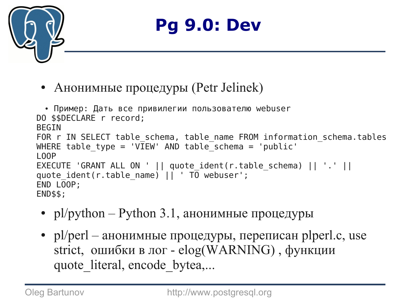

• Анонимные процедуры (Petr Jelinek)

```
• Пример: Дать все привилегии пользователю webuser
DO $$DECLARE r record;
BEGIN
FOR r IN SELECT table schema, table name FROM information schema.tables
WHERE table type = 'VIEW' AND table schema = 'public'
LOOP
EXECUTE 'GRANT ALL ON ' || quote_ident(r.table_schema) || '.' ||
quote ident(r.table name) || \cdot T\overline{0} webuser';
END LOOP;
END$$;
```
- $p$ l/python Python 3.1, анонимные процедуры
- $p$ l/perl анонимные процедуры, переписан plperl.c, use strict, ошибки в лог - elog(WARNING) , функции quote literal, encode bytea,...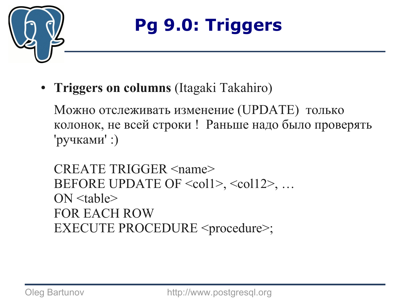

● **Triggers on columns** (Itagaki Takahiro)

Можно отслеживать изменение (UPDATE) только колонок, не всей строки ! Раньше надо было проверять 'ручками' :)

CREATE TRIGGER <name> BEFORE UPDATE OF <coll>, <coll2>, ...  $ON$   $ltable$ FOR EACH ROW EXECUTE PROCEDURE <procedure>;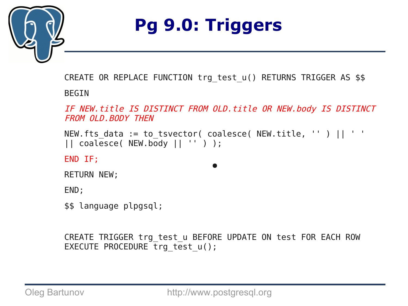

CREATE OR REPLACE FUNCTION trg test u() RETURNS TRIGGER AS \$\$

**BEGIN** 

IF NEW.title IS DISTINCT FROM OLD.title OR NEW.body IS DISTINCT FROM OLD. BODY THEN

```
NEW.fts_data := to_tsvector( coalesce( NEW.title, '' ) || ' ' 
|| coalesce( NEW.body || '' ) );
```
 $\bullet$ 

END IF;

RETURN NEW;

END;

\$\$ language plpgsql;

CREATE TRIGGER trg test u BEFORE UPDATE ON test FOR EACH ROW EXECUTE PROCEDURE trg test  $u()$ ;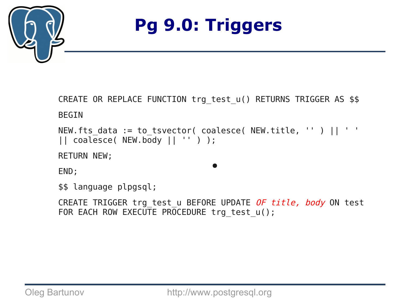

CREATE OR REPLACE FUNCTION trg\_test\_u() RETURNS TRIGGER AS \$\$ BEGIN

```
NEW.fts_data := to_tsvector( coalesce( NEW.title, '' ) || ' ' 
|| coalesce( NEW.body || '' ) );
```
RETURN NEW;

END;

```
$$ language plpgsql;
```
CREATE TRIGGER trg\_test\_u BEFORE UPDATE OF title, body ON test FOR EACH ROW EXECUTE PROCEDURE trg test u();

 $\bullet$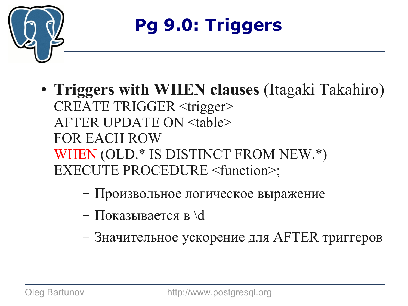

- **Triggers with WHEN clauses** (Itagaki Takahiro) CREATE TRIGGER <trigger> AFTER UPDATE ON <table> FOR EACH ROW WHEN (OLD.\* IS DISTINCT FROM NEW.\*) EXECUTE PROCEDURE <function>;
	- Произвольное логическое выражение
	- Показывается в \d
	- Значительное ускорение для AFTER триггеров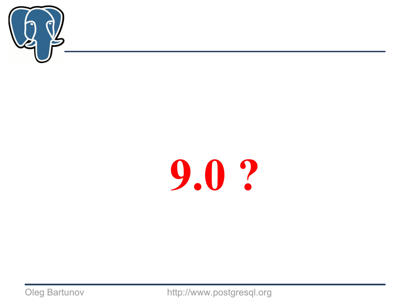

# **9.0 ?**

Oleg Bartunov http://www.postgresql.org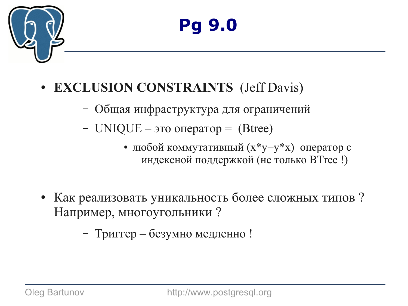

#### **EXCLUSION CONSTRAINTS** (Jeff Davis)

- Общая инфраструктура для ограничений
- UNIQUE это оператор  $=$  (Btree)
	- любой коммутативный (x\*y=y\*x) оператор с индексной поддержкой (не только BTree !)
- Как реализовать уникальность более сложных типов? Например, многоугольники ?

– Триггер – безумно медленно !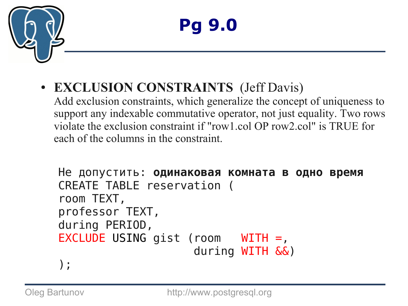

#### ● **EXCLUSION CONSTRAINTS** (Jeff Davis)

Add exclusion constraints, which generalize the concept of uniqueness to support any indexable commutative operator, not just equality. Two rows violate the exclusion constraint if "row1.col OP row2.col" is TRUE for each of the columns in the constraint.

```
Не допустить: одинаковая комната в одно время
CREATE TABLE reservation (
room TEXT,
professor TEXT,
during PERIOD,
EXCLUDE USING gist (room WITH =,
                     during WITH &&)
```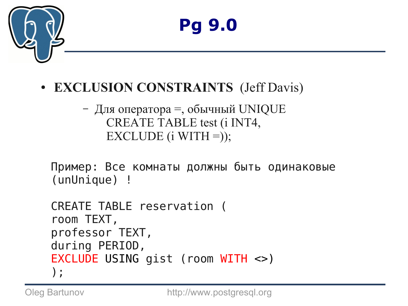

### **Pg 9.0**

#### ● **EXCLUSION CONSTRAINTS** (Jeff Davis)

```
– Для оператора =, обычный UNIQUE
    CREATE TABLE test (i INT4,
    EXCLUDE (i WITH =));
```
Пример: Все комнаты должны быть одинаковые (unUnique) !

```
CREATE TABLE reservation (
room TEXT,
professor TEXT,
during PERIOD,
EXCLUDE USING gist (room WITH <>)
);
```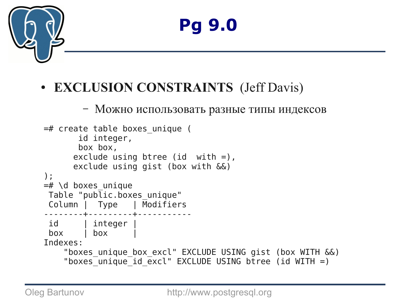

### **Pg 9.0**

#### ● **EXCLUSION CONSTRAINTS** (Jeff Davis)

– Можно использовать разные типы индексов

```
=# create table boxes_unique (
        id integer, 
        box box, 
      exclude using btree (id with =),
       exclude using gist (box with &&)
);
=\# \setminus d boxes unique
Table "public.boxes_unique"
Column | Type | Modifiers 
--------+---------+-----------
id | integer |
 box | box | 
Indexes:
    "boxes unique box excl" EXCLUDE USING gist (box WITH &&)
    "boxes_unique_id_excl" EXCLUDE USING btree (id WITH =)
```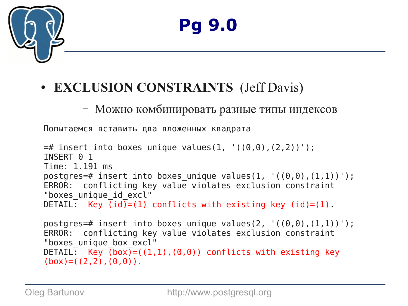

#### ● **EXCLUSION CONSTRAINTS** (Jeff Davis)

#### – Можно комбинировать разные типы индексов

Попытаемся вставить два вложенных квадрата

```
=# insert into boxes unique values(1, '((0,0),(2,2))');
INSERT 0 1
Time: 1.191 ms
postgres=# insert into boxes unique values(1, '((0,0),(1,1))');
ERROR: conflicting key value violates exclusion constraint 
"boxes unique id excl"
DETAIL: Key \overline{(id)} = (1) conflicts with existing key (id)=(1).
```
postgres=# insert into boxes\_unique values(2, '((0,0),(1,1))'); ERROR: conflicting key value violates exclusion constraint "boxes unique box excl" DETAIL: Key  $(box)=((1,1), (0,0))$  conflicts with existing key  $(box) = ((2,2), (0,0))$ .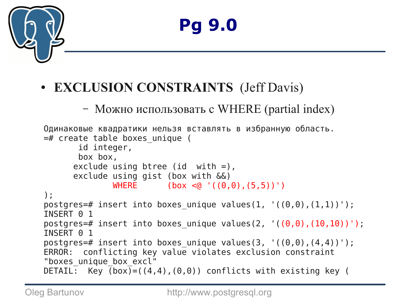

#### ● **EXCLUSION CONSTRAINTS** (Jeff Davis)

– Можно использовать с WHERE (partial index)

```
Одинаковые квадратики нельзя вставлять в избранную область.
=# create table boxes_unique (
        id integer, 
        box box, 
       exclude using btree (id with =), 
       exclude using gist (box with &&) 
              WHERE (\text{box} < 0 \mid ((0,0), (5,5))'));
postgres=# insert into boxes_unique values(1, '((0,0),(1,1))');
INSERT 0 1
postgres=# insert into boxes_unique values(2, '(0,0), (10,10))');
INSERT 0 1
postgres=# insert into boxes unique values(3, '(0,0),(4,4))');
ERROR: conflicting key value violates exclusion constraint 
"boxes unique box excl"
DETAIL: Key (box) = ((4, 4), (0, 0)) conflicts with existing key (
```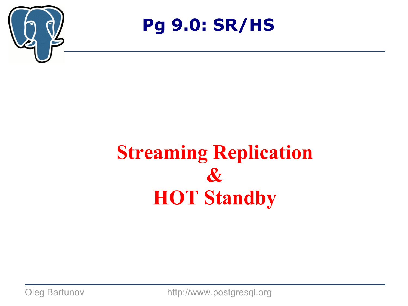

### **Streaming Replication & HOT Standby**

Oleg Bartunov http://www.postgresql.org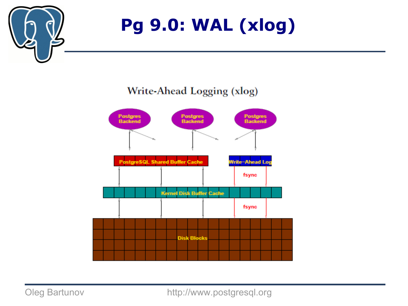

#### **Pg 9.0: WAL (xlog)**

#### Write-Ahead Logging (xlog)



Oleg Bartunov http://www.postgresql.org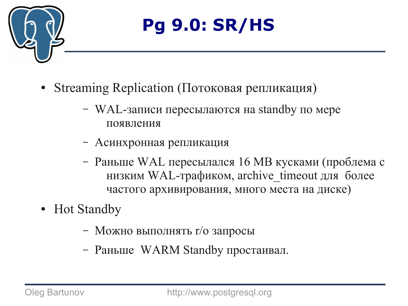

- Streaming Replication (Потоковая репликация)
	- WAL-записи пересылаются на standby по мере появления
	- Асинхронная репликация
	- Раньше WAL пересылался 16 MB кусками (проблема с низким WAL-трафиком, archive timeout для более частого архивирования, много места на диске)
- Hot Standby
	- Можно выполнять r/o запросы
	- Раньше WARM Standby простаивал.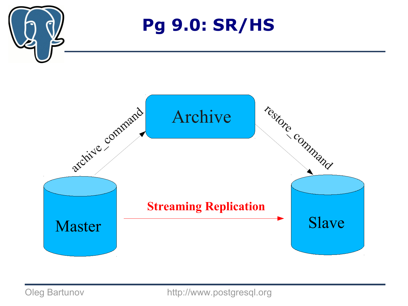

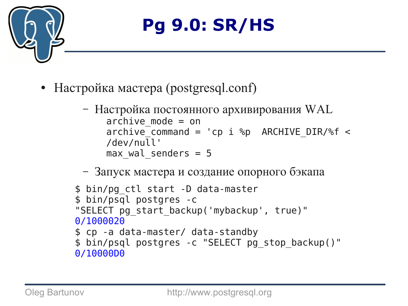

- Настройка мастера (postgresql.conf)
	- Настройка постоянного архивирования WAL  $\archive$  mode = on archive command = 'cp i %p ARCHIVE DIR/%f < /dev/null'  $max$  wal senders = 5
	- Запуск мастера и создание опорного бэкапа

```
$ bin/pg_ctl start -D data-master
$ bin/psql postgres -c
"SELECT pg_start_backup('mybackup', true)"
0/1000020
$ cp -a data-master/ data-standby
$ bin/psql postgres -c "SELECT pg_stop_backup()"
0/10000D0
```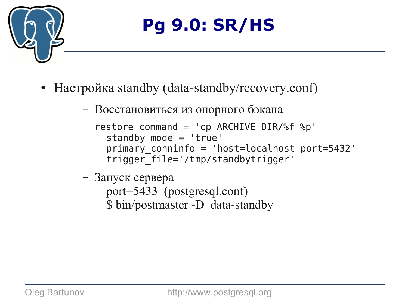

- Настройка standby (data-standby/recovery.conf)
	- Восстановиться из опорного бэкапа

```
restore command = 'cp ARCHIVE DIR/%f %p'
  standby mode = 'true'
  primary_conninfo = 'host=localhost port=5432'
  trigger_file='/tmp/standbytrigger'
```
– Запуск сервера port=5433 (postgresql.conf) \$ bin/postmaster -D data-standby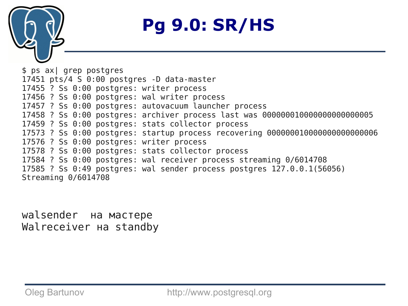

\$ ps ax| grep postgres 17451 pts/4 S 0:00 postgres -D data-master 17455 ? Ss 0:00 postgres: writer process 17456 ? Ss 0:00 postgres: wal writer process 17457 ? Ss 0:00 postgres: autovacuum launcher process 17458 ? Ss 0:00 postgres: archiver process last was 000000010000000000000005 17459 ? Ss 0:00 postgres: stats collector process 17573 ? Ss 0:00 postgres: startup process recovering 000000010000000000000006 17576 ? Ss 0:00 postgres: writer process 17578 ? Ss 0:00 postgres: stats collector process 17584 ? Ss 0:00 postgres: wal receiver process streaming 0/6014708 17585 ? Ss 0:49 postgres: wal sender process postgres 127.0.0.1(56056) Streaming 0/6014708

walsender на мастере Walreceiver на standby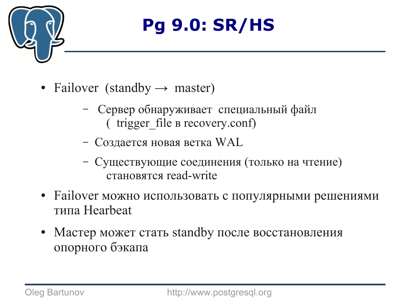

- Failover (standby  $\rightarrow$  master)
	- Сервер обнаруживает специальный файл ( trigger\_file в recovery.conf)
	- Создается новая ветка WAL
	- Существующие соединения (только на чтение) становятся read-write
- Failover можно использовать с популярными решениями типа Hearbeat
- Мастер может стать standby после восстановления опорного бэкапа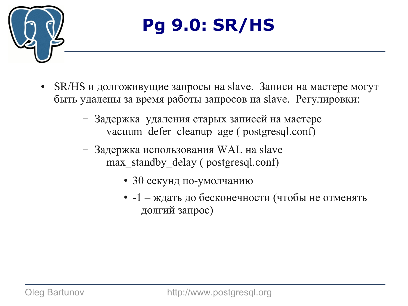

- SR/HS и долгоживущие запросы на slave. Записи на мастере могут быть удалены за время работы запросов на slave. Регулировки:
	- Задержка удаления старых записей на мастере vacuum defer cleanup age ( postgresql.conf)
	- Задержка использования WAL на slave max standby delay ( postgresql.conf)
		- 30 секунд по-умолчанию
		- $-1 x$ дать до бесконечности (чтобы не отменять долгий запрос)